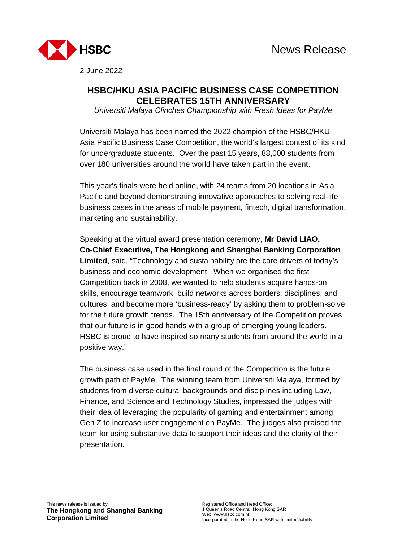

2 June 2022

## **HSBC/HKU ASIA PACIFIC BUSINESS CASE COMPETITION CELEBRATES 15TH ANNIVERSARY**

*Universiti Malaya Clinches Championship with Fresh Ideas for PayMe* 

Universiti Malaya has been named the 2022 champion of the HSBC/HKU Asia Pacific Business Case Competition, the world's largest contest of its kind for undergraduate students. Over the past 15 years, 88,000 students from over 180 universities around the world have taken part in the event.

This year's finals were held online, with 24 teams from 20 locations in Asia Pacific and beyond demonstrating innovative approaches to solving real-life business cases in the areas of mobile payment, fintech, digital transformation, marketing and sustainability.

Speaking at the virtual award presentation ceremony, **Mr David LIAO, Co-Chief Executive, The Hongkong and Shanghai Banking Corporation Limited**, said, "Technology and sustainability are the core drivers of today's business and economic development. When we organised the first Competition back in 2008, we wanted to help students acquire hands-on skills, encourage teamwork, build networks across borders, disciplines, and cultures, and become more 'business-ready' by asking them to problem-solve for the future growth trends. The 15th anniversary of the Competition proves that our future is in good hands with a group of emerging young leaders. HSBC is proud to have inspired so many students from around the world in a positive way."

The business case used in the final round of the Competition is the future growth path of PayMe. The winning team from Universiti Malaya, formed by students from diverse cultural backgrounds and disciplines including Law, Finance, and Science and Technology Studies, impressed the judges with their idea of leveraging the popularity of gaming and entertainment among Gen Z to increase user engagement on PayMe. The judges also praised the team for using substantive data to support their ideas and the clarity of their presentation.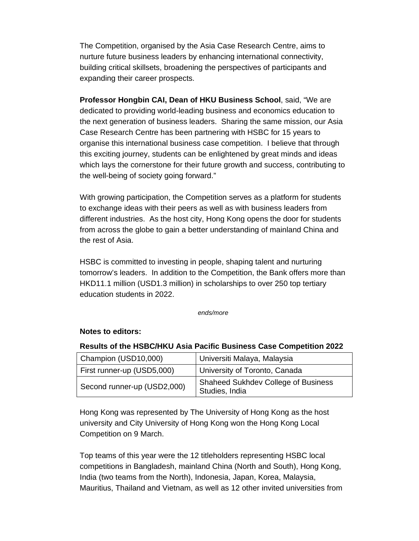The Competition, organised by the Asia Case Research Centre, aims to nurture future business leaders by enhancing international connectivity, building critical skillsets, broadening the perspectives of participants and expanding their career prospects.

**Professor Hongbin CAI, Dean of HKU Business School**, said, "We are dedicated to providing world-leading business and economics education to the next generation of business leaders. Sharing the same mission, our Asia Case Research Centre has been partnering with HSBC for 15 years to organise this international business case competition. I believe that through this exciting journey, students can be enlightened by great minds and ideas which lays the cornerstone for their future growth and success, contributing to the well-being of society going forward."

With growing participation, the Competition serves as a platform for students to exchange ideas with their peers as well as with business leaders from different industries. As the host city, Hong Kong opens the door for students from across the globe to gain a better understanding of mainland China and the rest of Asia.

HSBC is committed to investing in people, shaping talent and nurturing tomorrow's leaders. In addition to the Competition, the Bank offers more than HKD11.1 million (USD1.3 million) in scholarships to over 250 top tertiary education students in 2022.

*ends/more* 

## **Notes to editors:**

## **Results of the HSBC/HKU Asia Pacific Business Case Competition 2022**

| Champion (USD10,000)        | Universiti Malaya, Malaysia                                  |
|-----------------------------|--------------------------------------------------------------|
| First runner-up (USD5,000)  | University of Toronto, Canada                                |
| Second runner-up (USD2,000) | <b>Shaheed Sukhdev College of Business</b><br>Studies, India |

Hong Kong was represented by The University of Hong Kong as the host university and City University of Hong Kong won the Hong Kong Local Competition on 9 March.

Top teams of this year were the 12 titleholders representing HSBC local competitions in Bangladesh, mainland China (North and South), Hong Kong, India (two teams from the North), Indonesia, Japan, Korea, Malaysia, Mauritius, Thailand and Vietnam, as well as 12 other invited universities from